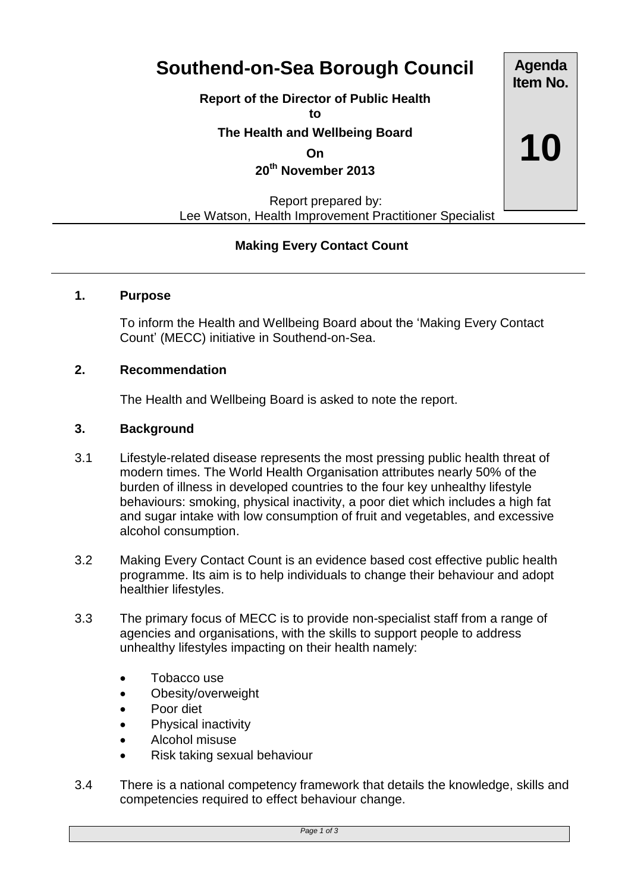# **Southend-on-Sea Borough Council**

**Report of the Director of Public Health**

**to**

**The Health and Wellbeing Board**

**On**

**20th November 2013**

 Report prepared by: Lee Watson, Health Improvement Practitioner Specialist

## **Making Every Contact Count**

#### **1. Purpose**

To inform the Health and Wellbeing Board about the 'Making Every Contact Count' (MECC) initiative in Southend-on-Sea.

#### **2. Recommendation**

The Health and Wellbeing Board is asked to note the report.

#### **3. Background**

- 3.1 Lifestyle-related disease represents the most pressing public health threat of modern times. The World Health Organisation attributes nearly 50% of the burden of illness in developed countries to the four key unhealthy lifestyle behaviours: smoking, physical inactivity, a poor diet which includes a high fat and sugar intake with low consumption of fruit and vegetables, and excessive alcohol consumption.
- 3.2 Making Every Contact Count is an evidence based cost effective public health programme. Its aim is to help individuals to change their behaviour and adopt healthier lifestyles.
- 3.3 The primary focus of MECC is to provide non-specialist staff from a range of agencies and organisations, with the skills to support people to address unhealthy lifestyles impacting on their health namely:
	- Tobacco use
	- Obesity/overweight
	- Poor diet
	- Physical inactivity
	- Alcohol misuse
	- Risk taking sexual behaviour
- 3.4 There is a national competency framework that details the knowledge, skills and competencies required to effect behaviour change.

**Item No. 10**

**Agenda**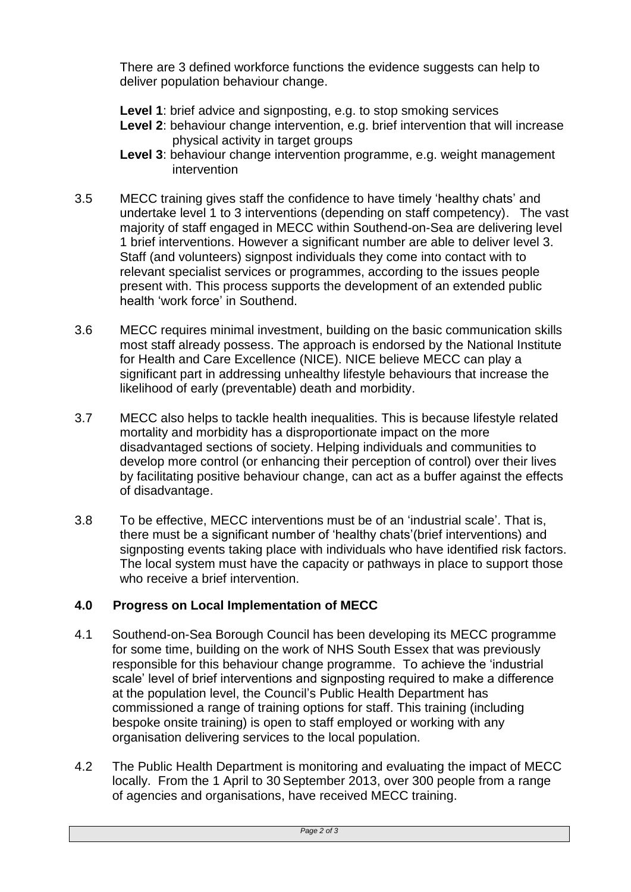There are 3 defined workforce functions the evidence suggests can help to deliver population behaviour change.

- **Level 1**: brief advice and signposting, e.g. to stop smoking services
- **Level 2**: behaviour change intervention, e.g. brief intervention that will increase physical activity in target groups
- **Level 3**: behaviour change intervention programme, e.g. weight management intervention
- 3.5 MECC training gives staff the confidence to have timely 'healthy chats' and undertake level 1 to 3 interventions (depending on staff competency). The vast majority of staff engaged in MECC within Southend-on-Sea are delivering level 1 brief interventions. However a significant number are able to deliver level 3. Staff (and volunteers) signpost individuals they come into contact with to relevant specialist services or programmes, according to the issues people present with. This process supports the development of an extended public health 'work force' in Southend.
- 3.6 MECC requires minimal investment, building on the basic communication skills most staff already possess. The approach is endorsed by the National Institute for Health and Care Excellence (NICE). NICE believe MECC can play a significant part in addressing unhealthy lifestyle behaviours that increase the likelihood of early (preventable) death and morbidity.
- 3.7 MECC also helps to tackle health inequalities. This is because lifestyle related mortality and morbidity has a disproportionate impact on the more disadvantaged sections of society. Helping individuals and communities to develop more control (or enhancing their perception of control) over their lives by facilitating positive behaviour change, can act as a buffer against the effects of disadvantage.
- 3.8 To be effective, MECC interventions must be of an 'industrial scale'. That is, there must be a significant number of 'healthy chats'(brief interventions) and signposting events taking place with individuals who have identified risk factors. The local system must have the capacity or pathways in place to support those who receive a brief intervention.

### **4.0 Progress on Local Implementation of MECC**

- 4.1 Southend-on-Sea Borough Council has been developing its MECC programme for some time, building on the work of NHS South Essex that was previously responsible for this behaviour change programme. To achieve the 'industrial scale' level of brief interventions and signposting required to make a difference at the population level, the Council's Public Health Department has commissioned a range of training options for staff. This training (including bespoke onsite training) is open to staff employed or working with any organisation delivering services to the local population.
- 4.2 The Public Health Department is monitoring and evaluating the impact of MECC locally. From the 1 April to 30 September 2013, over 300 people from a range of agencies and organisations, have received MECC training.